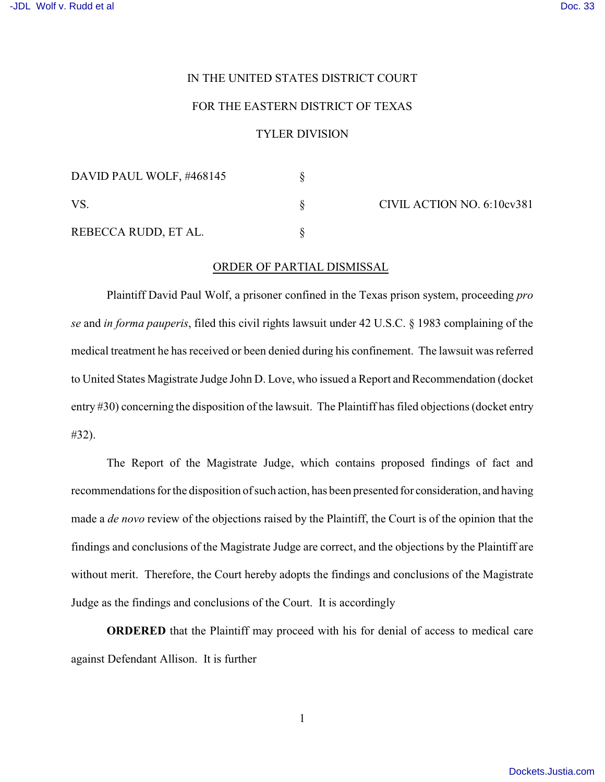## IN THE UNITED STATES DISTRICT COURT

## FOR THE EASTERN DISTRICT OF TEXAS

## TYLER DIVISION

| DAVID PAUL WOLF, #468145 |  | CIVIL ACTION NO. 6:10cv381 |
|--------------------------|--|----------------------------|
|                          |  |                            |
| REBECCA RUDD, ET AL.     |  |                            |

## ORDER OF PARTIAL DISMISSAL

Plaintiff David Paul Wolf, a prisoner confined in the Texas prison system, proceeding *pro se* and *in forma pauperis*, filed this civil rights lawsuit under 42 U.S.C. § 1983 complaining of the medical treatment he has received or been denied during his confinement. The lawsuit was referred to United States Magistrate Judge John D. Love, who issued a Report and Recommendation (docket entry #30) concerning the disposition of the lawsuit. The Plaintiff has filed objections (docket entry #32).

The Report of the Magistrate Judge, which contains proposed findings of fact and recommendations for the disposition of such action, has been presented for consideration, and having made a *de novo* review of the objections raised by the Plaintiff, the Court is of the opinion that the findings and conclusions of the Magistrate Judge are correct, and the objections by the Plaintiff are without merit. Therefore, the Court hereby adopts the findings and conclusions of the Magistrate Judge as the findings and conclusions of the Court. It is accordingly

**ORDERED** that the Plaintiff may proceed with his for denial of access to medical care against Defendant Allison. It is further